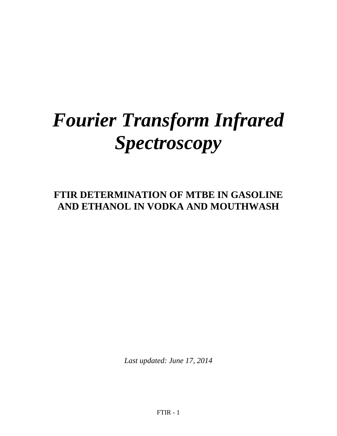# *Fourier Transform Infrared Spectroscopy*

# **FTIR DETERMINATION OF MTBE IN GASOLINE AND ETHANOL IN VODKA AND MOUTHWASH**

*Last updated: June 17, 2014*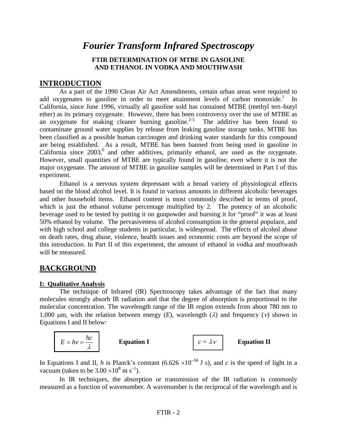## *Fourier Transform Infrared Spectroscopy*

#### **FTIR DETERMINATION OF MTBE IN GASOLINE AND ETHANOL IN VODKA AND MOUTHWASH**

#### **INTRODUCTION**

As a part of the 1990 Clean Air Act Amendments, certain urban areas were required to add oxygenates to gasoline in order to meet attainment levels of carbon monoxide.<sup>1</sup> In California, since June 1996, virtually all gasoline sold has contained MTBE (methyl tert–butyl ether) as its primary oxygenate. However, there has been controversy over the use of MTBE as an oxygenate for making cleaner burning gasoline.<sup>2-5</sup> The additive has been found to contaminate ground water supplies by release from leaking gasoline storage tanks. MTBE has been classified as a possible human carcinogen and drinking water standards for this compound are being established. As a result, MTBE has been banned from being used in gasoline in California since  $2003$ <sup>6</sup>, and other additives, primarily ethanol, are used as the oxygenate. However, small quantities of MTBE are typically found in gasoline, even where it is not the major oxygenate. The amount of MTBE in gasoline samples will be determined in Part I of this experiment.

Ethanol is a nervous system depressant with a broad variety of physiological effects based on the blood alcohol level. It is found in various amounts in different alcoholic beverages and other household items. Ethanol content is most commonly described in terms of proof, which is just the ethanol volume percentage multiplied by 2. The potency of an alcoholic beverage used to be tested by putting it on gunpowder and burning it for "proof" it was at least 50% ethanol by volume. The pervasiveness of alcohol consumption in the general populace, and with high school and college students in particular, is widespread. The effects of alcohol abuse on death rates, drug abuse, violence, health issues and economic costs are beyond the scope of this introduction. In Part II of this experiment, the amount of ethanol in vodka and mouthwash will be measured.

#### **BACKGROUND**

#### **I: Qualitative Analysis**

The technique of Infrared (IR) Spectroscopy takes advantage of the fact that many molecules strongly absorb IR radiation and that the degree of absorption is proportional to the molecular concentration. The wavelength range of the IR region extends from about 780 nm to 1,000 μm, with the relation between energy  $(E)$ , wavelength  $(λ)$  and frequency  $(ν)$  shown in Equations I and II below:



In Equations I and II, *h* is Planck's constant (6.626  $\times 10^{-34}$  J s), and *c* is the speed of light in a vacuum (taken to be  $3.00 \times 10^8$  m s<sup>-1</sup>).

In IR techniques, the absorption or transmission of the IR radiation is commonly measured as a function of wavenumber. A wavenumber is the reciprocal of the wavelength and is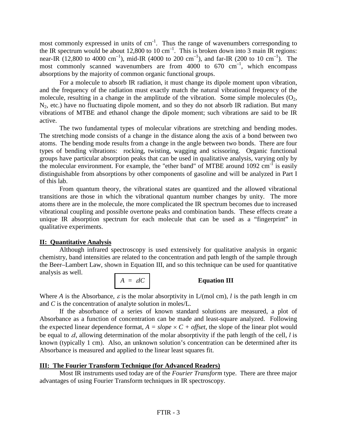most commonly expressed in units of  $cm^{-1}$ . Thus the range of wavenumbers corresponding to the IR spectrum would be about 12,800 to 10 cm<sup>-1</sup>. This is broken down into 3 main IR regions: near-IR (12,800 to 4000 cm<sup>-1</sup>), mid-IR (4000 to 200 cm<sup>-1</sup>), and far-IR (200 to 10 cm<sup>-1</sup>). The most commonly scanned wavenumbers are from  $4000$  to  $670 \text{ cm}^{-1}$ , which encompass absorptions by the majority of common organic functional groups.

For a molecule to absorb IR radiation, it must change its dipole moment upon vibration, and the frequency of the radiation must exactly match the natural vibrational frequency of the molecule, resulting in a change in the amplitude of the vibration. Some simple molecules  $(O_2, Q_3)$  $N_2$ , etc.) have no fluctuating dipole moment, and so they do not absorb IR radiation. But many vibrations of MTBE and ethanol change the dipole moment; such vibrations are said to be IR active.

The two fundamental types of molecular vibrations are stretching and bending modes. The stretching mode consists of a change in the distance along the axis of a bond between two atoms. The bending mode results from a change in the angle between two bonds. There are four types of bending vibrations: rocking, twisting, wagging and scissoring. Organic functional groups have particular absorption peaks that can be used in qualitative analysis, varying only by the molecular environment. For example, the "ether band" of MTBE around  $1092 \text{ cm}^{-1}$  is easily distinguishable from absorptions by other components of gasoline and will be analyzed in Part I of this lab.

From quantum theory, the vibrational states are quantized and the allowed vibrational transitions are those in which the vibrational quantum number changes by unity. The more atoms there are in the molecule, the more complicated the IR spectrum becomes due to increased vibrational coupling and possible overtone peaks and combination bands. These effects create a unique IR absorption spectrum for each molecule that can be used as a "fingerprint" in qualitative experiments.

#### **II: Quantitative Analysis**

Although infrared spectroscopy is used extensively for qualitative analysis in organic chemistry, band intensities are related to the concentration and path length of the sample through the Beer–Lambert Law, shown in Equation III, and so this technique can be used for quantitative analysis as well.



Where *A* is the Absorbance,  $\varepsilon$  is the molar absorptivity in  $L/(mol \text{ cm})$ , *l* is the path length in cm and *C* is the concentration of analyte solution in moles/L.

If the absorbance of a series of known standard solutions are measured, a plot of Absorbance as a function of concentration can be made and least-square analyzed. Following the expected linear dependence format,  $A = slope \times C + offset$ , the slope of the linear plot would be equal to ε*l*, allowing determination of the molar absorptivity if the path length of the cell, *l* is known (typically 1 cm). Also, an unknown solution's concentration can be determined after its Absorbance is measured and applied to the linear least squares fit.

#### **III: The Fourier Transform Technique (for Advanced Readers)**

Most IR instruments used today are of the *Fourier Transform* type. There are three major advantages of using Fourier Transform techniques in IR spectroscopy.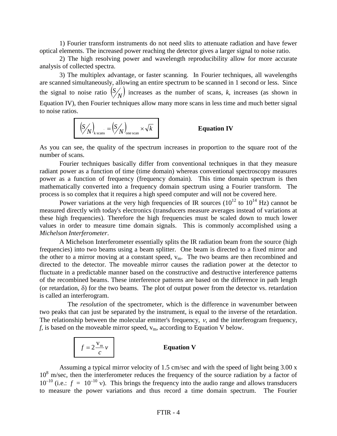1) Fourier transform instruments do not need slits to attenuate radiation and have fewer optical elements. The increased power reaching the detector gives a larger signal to noise ratio.

2) The high resolving power and wavelength reproducibility allow for more accurate analysis of collected spectra.

3) The multiplex advantage, or faster scanning. In Fourier techniques, all wavelengths are scanned simultaneously, allowing an entire spectrum to be scanned in 1 second or less. Since the signal to noise ratio  $\binom{S}{N}$  increases as the number of scans, *k*, increases (as shown in Equation IV), then Fourier techniques allow many more scans in less time and much better signal to noise ratios.

$$
\left(\frac{S}{N}\right)_{\text{k scans}} = \left(\frac{S}{N}\right)_{\text{one scan}} \times \sqrt{k}
$$

#### **Equation IV**

As you can see, the quality of the spectrum increases in proportion to the square root of the number of scans.

Fourier techniques basically differ from conventional techniques in that they measure radiant power as a function of time (time domain) whereas conventional spectroscopy measures power as a function of frequency (frequency domain). This time domain spectrum is then mathematically converted into a frequency domain spectrum using a Fourier transform. The process is so complex that it requires a high speed computer and will not be covered here.

Power variations at the very high frequencies of IR sources  $(10^{12}$  to  $10^{14}$  Hz) cannot be measured directly with today's electronics (transducers measure averages instead of variations at these high frequencies). Therefore the high frequencies must be scaled down to much lower values in order to measure time domain signals. This is commonly accomplished using a *Michelson Interferometer*.

A Michelson Interferometer essentially splits the IR radiation beam from the source (high frequencies) into two beams using a beam splitter. One beam is directed to a fixed mirror and the other to a mirror moving at a constant speed,  $v_m$ . The two beams are then recombined and directed to the detector. The moveable mirror causes the radiation power at the detector to fluctuate in a predictable manner based on the constructive and destructive interference patterns of the recombined beams. These interference patterns are based on the difference in path length (or retardation,  $\delta$ ) for the two beams. The plot of output power from the detector vs. retardation is called an interferogram.

 The *resolution* of the spectrometer, which is the difference in wavenumber between two peaks that can just be separated by the instrument, is equal to the inverse of the retardation. The relationship between the molecular emitter's frequency,  $v$ , and the interferogram frequency,  $f$ , is based on the moveable mirror speed,  $v_m$ , according to Equation V below.

$$
f = 2 \frac{V_m}{c} v
$$
 Equation V

Assuming a typical mirror velocity of 1.5 cm/sec and with the speed of light being 3.00 x 10<sup>8</sup> m/sec, then the interferometer reduces the frequency of the source radiation by a factor of  $10^{-10}$  (i.e.:  $f = 10^{-10}$  v). This brings the frequency into the audio range and allows transducers to measure the power variations and thus record a time domain spectrum. The Fourier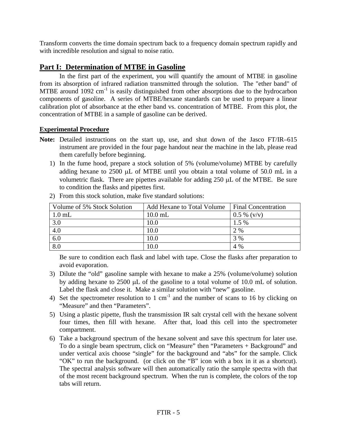Transform converts the time domain spectrum back to a frequency domain spectrum rapidly and with incredible resolution and signal to noise ratio.

#### **Part I: Determination of MTBE in Gasoline**

In the first part of the experiment, you will quantify the amount of MTBE in gasoline from its absorption of infrared radiation transmitted through the solution. The "ether band" of MTBE around  $1092 \text{ cm}^{-1}$  is easily distinguished from other absorptions due to the hydrocarbon components of gasoline. A series of MTBE/hexane standards can be used to prepare a linear calibration plot of absorbance at the ether band vs. concentration of MTBE. From this plot, the concentration of MTBE in a sample of gasoline can be derived.

#### **Experimental Procedure**

- **Note:** Detailed instructions on the start up, use, and shut down of the Jasco FT/IR–615 instrument are provided in the four page handout near the machine in the lab, please read them carefully before beginning.
	- 1) In the fume hood, prepare a stock solution of 5% (volume/volume) MTBE by carefully adding hexane to  $2500 \mu L$  of MTBE until you obtain a total volume of  $50.0 \mu L$  in a volumetric flask. There are pipettes available for adding  $250 \mu L$  of the MTBE. Be sure to condition the flasks and pipettes first.

| Volume of 5% Stock Solution | Add Hexane to Total Volume | <b>Final Concentration</b> |
|-----------------------------|----------------------------|----------------------------|
| $1.0$ mL                    | $10.0$ mL                  | $0.5\%$ (v/v)              |
| 3.0                         | 10.0                       | 1.5 %                      |
| 4.0                         | 10.0                       | 2 %                        |
| $\overline{6.0}$            | 10.0                       | 3 %                        |
| 8.0                         | 10.0                       | 4 %                        |

2) From this stock solution, make five standard solutions:

Be sure to condition each flask and label with tape. Close the flasks after preparation to avoid evaporation.

- 3) Dilute the "old" gasoline sample with hexane to make a 25% (volume/volume) solution by adding hexane to 2500 µL of the gasoline to a total volume of 10.0 mL of solution. Label the flask and close it. Make a similar solution with "new" gasoline.
- 4) Set the spectrometer resolution to 1 cm<sup>-1</sup> and the number of scans to 16 by clicking on "Measure" and then "Parameters".
- 5) Using a plastic pipette, flush the transmission IR salt crystal cell with the hexane solvent four times, then fill with hexane. After that, load this cell into the spectrometer compartment.
- 6) Take a background spectrum of the hexane solvent and save this spectrum for later use. To do a single beam spectrum, click on "Measure" then "Parameters + Background" and under vertical axis choose "single" for the background and "abs" for the sample. Click "OK" to run the background. (or click on the "B" icon with a box in it as a shortcut). The spectral analysis software will then automatically ratio the sample spectra with that of the most recent background spectrum. When the run is complete, the colors of the top tabs will return.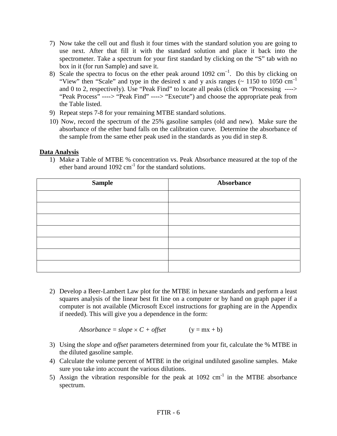- 7) Now take the cell out and flush it four times with the standard solution you are going to use next. After that fill it with the standard solution and place it back into the spectrometer. Take a spectrum for your first standard by clicking on the "S" tab with no box in it (for run Sample) and save it.
- 8) Scale the spectra to focus on the ether peak around  $1092 \text{ cm}^{-1}$ . Do this by clicking on "View" then "Scale" and type in the desired x and y axis ranges ( $\sim$  1150 to 1050 cm<sup>-1</sup> and 0 to 2, respectively). Use "Peak Find" to locate all peaks (click on "Processing ----> "Peak Process" ----> "Peak Find" ----> "Execute") and choose the appropriate peak from the Table listed.
- 9) Repeat steps 7-8 for your remaining MTBE standard solutions.
- 10) Now, record the spectrum of the 25% gasoline samples (old and new). Make sure the absorbance of the ether band falls on the calibration curve. Determine the absorbance of the sample from the same ether peak used in the standards as you did in step 8.

#### **Data Analysis**

1) Make a Table of MTBE % concentration vs. Peak Absorbance measured at the top of the ether band around  $1092 \text{ cm}^{-1}$  for the standard solutions.

| <b>Sample</b> | Absorbance |  |  |
|---------------|------------|--|--|
|               |            |  |  |
|               |            |  |  |
|               |            |  |  |
|               |            |  |  |
|               |            |  |  |
|               |            |  |  |
|               |            |  |  |

2) Develop a Beer-Lambert Law plot for the MTBE in hexane standards and perform a least squares analysis of the linear best fit line on a computer or by hand on graph paper if a computer is not available (Microsoft Excel instructions for graphing are in the Appendix if needed). This will give you a dependence in the form:

 $Absolute = slope \times C + offset$  (y = mx + b)

- 3) Using the *slope* and *offset* parameters determined from your fit, calculate the % MTBE in the diluted gasoline sample.
- 4) Calculate the volume percent of MTBE in the original undiluted gasoline samples. Make sure you take into account the various dilutions.
- 5) Assign the vibration responsible for the peak at  $1092 \text{ cm}^{-1}$  in the MTBE absorbance spectrum.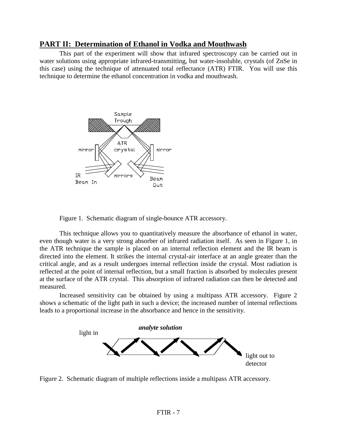#### **PART II: Determination of Ethanol in Vodka and Mouthwash**

This part of the experiment will show that infrared spectroscopy can be carried out in water solutions using appropriate infrared-transmitting, but water-insoluble, crystals (of ZnSe in this case) using the technique of attenuated total reflectance (ATR) FTIR. You will use this technique to determine the ethanol concentration in vodka and mouthwash.



Figure 1. Schematic diagram of single-bounce ATR accessory.

This technique allows you to quantitatively measure the absorbance of ethanol in water, even though water is a very strong absorber of infrared radiation itself. As seen in Figure 1, in the ATR technique the sample is placed on an internal reflection element and the IR beam is directed into the element. It strikes the internal crystal-air interface at an angle greater than the critical angle, and as a result undergoes internal reflection inside the crystal. Most radiation is reflected at the point of internal reflection, but a small fraction is absorbed by molecules present at the surface of the ATR crystal. This absorption of infrared radiation can then be detected and measured.

Increased sensitivity can be obtained by using a multipass ATR accessory. Figure 2 shows a schematic of the light path in such a device; the increased number of internal reflections leads to a proportional increase in the absorbance and hence in the sensitivity.



Figure 2. Schematic diagram of multiple reflections inside a multipass ATR accessory.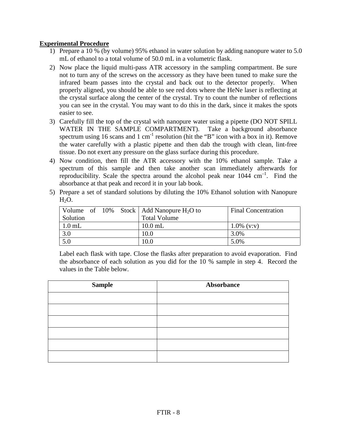#### **Experimental Procedure**

- 1) Prepare a 10 % (by volume) 95% ethanol in water solution by adding nanopure water to 5.0 mL of ethanol to a total volume of 50.0 mL in a volumetric flask.
- 2) Now place the liquid multi-pass ATR accessory in the sampling compartment. Be sure not to turn any of the screws on the accessory as they have been tuned to make sure the infrared beam passes into the crystal and back out to the detector properly. When properly aligned, you should be able to see red dots where the HeNe laser is reflecting at the crystal surface along the center of the crystal. Try to count the number of reflections you can see in the crystal. You may want to do this in the dark, since it makes the spots easier to see.
- 3) Carefully fill the top of the crystal with nanopure water using a pipette (DO NOT SPILL WATER IN THE SAMPLE COMPARTMENT). Take a background absorbance spectrum using 16 scans and 1 cm<sup>-1</sup> resolution (hit the "B" icon with a box in it). Remove the water carefully with a plastic pipette and then dab the trough with clean, lint-free tissue. Do not exert any pressure on the glass surface during this procedure.
- 4) Now condition, then fill the ATR accessory with the 10% ethanol sample. Take a spectrum of this sample and then take another scan immediately afterwards for reproducibility. Scale the spectra around the alcohol peak near  $1044 \text{ cm}^{-1}$ . Find the absorbance at that peak and record it in your lab book.
- 5) Prepare a set of standard solutions by diluting the 10% Ethanol solution with Nanopure  $H_2O$ .

|          |  |                     | Volume of 10% Stock   Add Nanopure $H_2O$ to | <b>Final Concentration</b> |
|----------|--|---------------------|----------------------------------------------|----------------------------|
| Solution |  | <b>Total Volume</b> |                                              |                            |
| $1.0$ mL |  |                     | $10.0$ mL                                    | $1.0\%$ (v:v)              |
| 3.0      |  | 10.0                | 3.0%                                         |                            |
| 5.0      |  |                     | 10.0                                         | 5.0%                       |

Label each flask with tape. Close the flasks after preparation to avoid evaporation. Find the absorbance of each solution as you did for the 10 % sample in step 4. Record the values in the Table below.

| <b>Sample</b> | <b>Absorbance</b> |  |
|---------------|-------------------|--|
|               |                   |  |
|               |                   |  |
|               |                   |  |
|               |                   |  |
|               |                   |  |
|               |                   |  |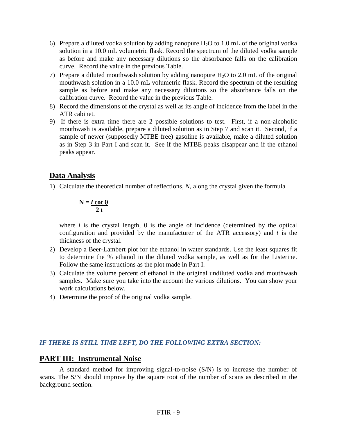- 6) Prepare a diluted vodka solution by adding nanopure  $H_2O$  to 1.0 mL of the original vodka solution in a 10.0 mL volumetric flask. Record the spectrum of the diluted vodka sample as before and make any necessary dilutions so the absorbance falls on the calibration curve. Record the value in the previous Table.
- 7) Prepare a diluted mouthwash solution by adding nanopure  $H_2O$  to 2.0 mL of the original mouthwash solution in a 10.0 mL volumetric flask. Record the spectrum of the resulting sample as before and make any necessary dilutions so the absorbance falls on the calibration curve. Record the value in the previous Table.
- 8) Record the dimensions of the crystal as well as its angle of incidence from the label in the ATR cabinet.
- 9) If there is extra time there are 2 possible solutions to test. First, if a non-alcoholic mouthwash is available, prepare a diluted solution as in Step 7 and scan it. Second, if a sample of newer (supposedly MTBE free) gasoline is available, make a diluted solution as in Step 3 in Part I and scan it. See if the MTBE peaks disappear and if the ethanol peaks appear.

#### **Data Analysis**

1) Calculate the theoretical number of reflections, *N*, along the crystal given the formula

$$
N = l \cot \theta \over 2 t
$$

where *l* is the crystal length,  $\theta$  is the angle of incidence (determined by the optical configuration and provided by the manufacturer of the ATR accessory) and *t* is the thickness of the crystal.

- 2) Develop a Beer-Lambert plot for the ethanol in water standards. Use the least squares fit to determine the % ethanol in the diluted vodka sample, as well as for the Listerine. Follow the same instructions as the plot made in Part I.
- 3) Calculate the volume percent of ethanol in the original undiluted vodka and mouthwash samples. Make sure you take into the account the various dilutions. You can show your work calculations below.
- 4) Determine the proof of the original vodka sample.

#### *IF THERE IS STILL TIME LEFT, DO THE FOLLOWING EXTRA SECTION:*

#### **PART III: Instrumental Noise**

A standard method for improving signal-to-noise (S/N) is to increase the number of scans. The S/N should improve by the square root of the number of scans as described in the background section.